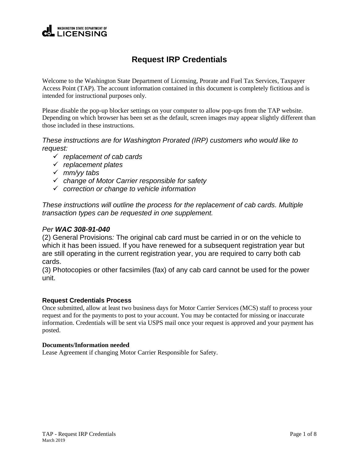## **WASHINGTON STATE DEPARTMENT OF LICENSING**

# **Request IRP Credentials**

Welcome to the Washington State Department of Licensing, Prorate and Fuel Tax Services, Taxpayer Access Point (TAP). The account information contained in this document is completely fictitious and is intended for instructional purposes only.

Please disable the pop-up blocker settings on your computer to allow pop-ups from the TAP website. Depending on which browser has been set as the default, screen images may appear slightly different than those included in these instructions.

*These instructions are for Washington Prorated (IRP) customers who would like to request:*

- *replacement of cab cards*
- *replacement plates*
- *mm/yy tabs*
- *change of Motor Carrier responsible for safety*
- *correction or change to vehicle information*

*These instructions will outline the process for the replacement of cab cards. Multiple transaction types can be requested in one supplement.*

## *Per WAC 308-91-040*

(2) General Provisions*:* The original cab card must be carried in or on the vehicle to which it has been issued. If you have renewed for a subsequent registration year but are still operating in the current registration year, you are required to carry both cab cards.

(3) Photocopies or other facsimiles (fax) of any cab card cannot be used for the power unit.

#### **Request Credentials Process**

Once submitted, allow at least two business days for Motor Carrier Services (MCS) staff to process your request and for the payments to post to your account. You may be contacted for missing or inaccurate information. Credentials will be sent via USPS mail once your request is approved and your payment has posted.

#### **Documents/Information needed**

Lease Agreement if changing Motor Carrier Responsible for Safety.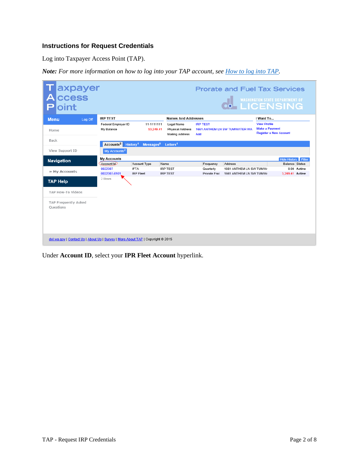## **Instructions for Request Credentials**

Log into Taxpayer Access Point (TAP).

*Note: For more information on how to log into your TAP account, see [How to log into TAP.](http://www.dol.wa.gov/vehicleregistration/docs/TAP-how-to-log-into-tap.pdf)*

| axpayer<br>ccess<br>А<br>oint                                                   |                                   |                                               |                                                                 |                           | <b>Prorate and Fuel Tax Services</b><br><b>THE WASHINGTON STATE DEPARTMENT OF<br/>29 H LICENSING</b> |                                                                               |                                                     |
|---------------------------------------------------------------------------------|-----------------------------------|-----------------------------------------------|-----------------------------------------------------------------|---------------------------|------------------------------------------------------------------------------------------------------|-------------------------------------------------------------------------------|-----------------------------------------------------|
| <b>Menu</b><br>Log Off                                                          | <b>IRP TEST</b>                   |                                               | <b>Names And Addresses</b>                                      |                           |                                                                                                      | I Want To                                                                     |                                                     |
| Home                                                                            | Federal Employer ID<br>My Balance | 11-1111111<br>\$3,249.41                      | Legal Name<br><b>Physical Address</b><br><b>Mailing Address</b> | <b>IRP TEST</b><br>Add    | 1661 ANTHEM LN SW TUMWATER WA                                                                        | <b>View Profile</b><br><b>Make a Payment</b><br><b>Register a New Account</b> |                                                     |
| Back                                                                            | Accounts <sup>2</sup>             | History <sup>1</sup><br>Messaaes <sup>0</sup> | Letters <sup>1</sup>                                            |                           |                                                                                                      |                                                                               |                                                     |
| View Support ID                                                                 | My Accounts <sup>2</sup>          |                                               |                                                                 |                           |                                                                                                      |                                                                               |                                                     |
| <b>Navigation</b>                                                               | <b>My Accounts</b><br>Account Id  | Account Type                                  | Name                                                            | Frequency                 | Address                                                                                              |                                                                               | <b>Hide History Filter</b><br><b>Balance Status</b> |
| » My Accounts                                                                   | 0022307<br>0022307-0101           | <b>IFTA</b><br><b>IRP Fleet</b>               | <b>IRP TEST</b><br><b>IRP TEST</b>                              | Quarterly<br>Prorate Fisc | 1661 ANTHEM LN SW TUMW/<br>1661 ANTHEM LN SW TUMW/                                                   |                                                                               | 0.00 Active<br>3.249.41 Active                      |
| <b>TAP Help</b>                                                                 | 2 Rows                            |                                               |                                                                 |                           |                                                                                                      |                                                                               |                                                     |
| TAP How-To Videos                                                               |                                   |                                               |                                                                 |                           |                                                                                                      |                                                                               |                                                     |
| TAP Frequently Asked<br>Ouestions                                               |                                   |                                               |                                                                 |                           |                                                                                                      |                                                                               |                                                     |
| dol.wa.gov   Contact Us   About Us   Survey   More About TAP   Copyright @ 2015 |                                   |                                               |                                                                 |                           |                                                                                                      |                                                                               |                                                     |

Under **Account ID**, select your **IPR Fleet Account** hyperlink.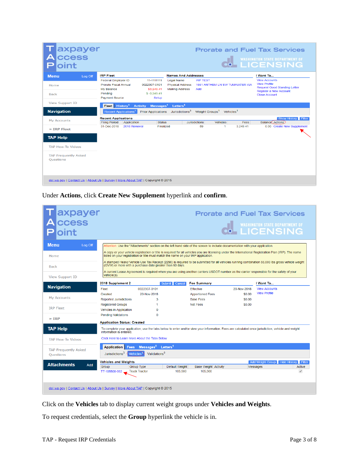| axpayer<br>ccess                                                                |         |                                                                       |                                                           |                                                                                                | <b>Prorate and Fuel Tax Services</b> |                        |                               |                                                                                                                                      |
|---------------------------------------------------------------------------------|---------|-----------------------------------------------------------------------|-----------------------------------------------------------|------------------------------------------------------------------------------------------------|--------------------------------------|------------------------|-------------------------------|--------------------------------------------------------------------------------------------------------------------------------------|
| oint                                                                            |         |                                                                       |                                                           |                                                                                                |                                      |                        |                               | <b>ON WASHINGTON STATE DEPARTMENT OF WASHINGTON STATE</b>                                                                            |
| <b>Menu</b>                                                                     | Log Off | <b>IRP Fleet</b>                                                      |                                                           |                                                                                                | <b>Names And Addresses</b>           |                        |                               | I Want To                                                                                                                            |
| Home<br><b>Back</b>                                                             |         | Federal Employer ID<br>Prorate Fiscal Annual<br>My Balance<br>Pending | 11-1111111<br>0022307-0101<br>\$3,249.41<br>$$ -3,249.41$ | <b>Legal Name</b><br><b>Physical Address</b><br><b>Mailing Address</b>                         |                                      | <b>IRP TEST</b><br>Add | 1661 ANTHEM LN SW TUMWATER WA | <b>View Accounts</b><br><b>View Profile</b><br><b>Request Good Standing Letter</b><br>Register a New Account<br><b>Close Account</b> |
| <b>View Support ID</b>                                                          |         | <b>Payment Source</b><br>Fleet History <sup>1</sup>                   | <b>Activity</b>                                           | Setup<br>Letters <sup>1</sup><br>Messages <sup>1</sup>                                         |                                      |                        |                               |                                                                                                                                      |
| <b>Navigation</b>                                                               |         | Recent Applications <sup>1</sup>                                      |                                                           | Prior Applications Jurisdictions <sup>3</sup> Weight Groups <sup>1</sup> Vehicles <sup>1</sup> |                                      |                        |                               |                                                                                                                                      |
| <b>My Accounts</b>                                                              |         | <b>Recent Applications</b><br><b>Filing Period</b>                    | Application                                               | <b>Status</b>                                                                                  | <b>Jurisdictions</b>                 | Vehicles               | <b>Fees</b>                   | Show History Filter<br>Balance Actions                                                                                               |
| » IRP Fleet                                                                     |         | 31-Dec-2018                                                           | 2018 Renewal                                              | <b>Finalized</b>                                                                               |                                      | 59                     | 3,249.41<br>$\mathbf{1}$      | 0.00 Create New Supplement                                                                                                           |
| <b>TAP Help</b>                                                                 |         |                                                                       |                                                           |                                                                                                |                                      |                        |                               |                                                                                                                                      |
| <b>TAP How-To Videos</b>                                                        |         |                                                                       |                                                           |                                                                                                |                                      |                        |                               |                                                                                                                                      |
| <b>TAP Frequently Asked</b><br><b>Ouestions</b>                                 |         |                                                                       |                                                           |                                                                                                |                                      |                        |                               |                                                                                                                                      |
| dol.wa.gov   Contact Us   About Us   Survey   More About TAP   Copyright © 2015 |         |                                                                       |                                                           |                                                                                                |                                      |                        |                               |                                                                                                                                      |

Under **Actions**, click **Create New Supplement** hyperlink and **confirm**.

| axpayer<br> ccess<br>pint                       |                                                                                            |                                                                                                                                                                                                                                                                                                        |                                        |             | <b>Prorate and Fuel Tax Services</b><br>WASHINGTON STATE DEPARTMENT OF                                                                          |
|-------------------------------------------------|--------------------------------------------------------------------------------------------|--------------------------------------------------------------------------------------------------------------------------------------------------------------------------------------------------------------------------------------------------------------------------------------------------------|----------------------------------------|-------------|-------------------------------------------------------------------------------------------------------------------------------------------------|
| <b>Menu</b><br>Log Off                          |                                                                                            | Attention: Use the "Attachments" section on the left hand side of the screen to include documentation with your application.                                                                                                                                                                           |                                        |             |                                                                                                                                                 |
| Home                                            |                                                                                            | A copy or your vehicle registration or title is required for all vehicles you are licensing under the International Registration Plan (IRP). The name<br>listed on your registration or title must match the name on your IRP application.<br>(GVW) or more with a purchase date greater than 60 days. |                                        |             | A stamped Heavy Vehicle Use Tax Receipt (2290) is required to be submitted for all vehicles running combination 55,000 lbs gross vehicle weight |
| <b>Back</b><br><b>View Support ID</b>           | vehicle(s).                                                                                | A current Lease Agreement is required when you are using another carriers USDOT number as the carrier responsible for the safety of your                                                                                                                                                               |                                        |             |                                                                                                                                                 |
| <b>Navigation</b>                               | 2018 Supplement 2<br>Fleet                                                                 | Submit Cancel<br>0022307-0101                                                                                                                                                                                                                                                                          | <b>Fee Summary</b><br><b>Effective</b> | 20-Nov-2018 | I Want To<br><b>View Accounts</b>                                                                                                               |
|                                                 | Created                                                                                    | 20-Nov-2018                                                                                                                                                                                                                                                                                            | <b>Apportioned Fees</b>                | \$0.00      | <b>View Profile</b>                                                                                                                             |
| <b>My Accounts</b>                              | Reported Jurisdictions                                                                     | 3                                                                                                                                                                                                                                                                                                      | <b>Base Fees</b>                       | \$0.00      |                                                                                                                                                 |
|                                                 | <b>Registered Groups</b>                                                                   | 1                                                                                                                                                                                                                                                                                                      | <b>Net Fees</b>                        | \$0.00      |                                                                                                                                                 |
| <b>IRP Fleet</b>                                | <b>Vehicles in Application</b>                                                             | $\Omega$                                                                                                                                                                                                                                                                                               |                                        |             |                                                                                                                                                 |
| $\ast$ IRP                                      | <b>Pending Validations</b><br><b>Application Status: Created</b>                           | $\Omega$                                                                                                                                                                                                                                                                                               |                                        |             |                                                                                                                                                 |
| <b>TAP Help</b>                                 | information is entered.                                                                    | To complete your application, use the tabs below to enter and/or view your information. Fees are calculated once jurisdiction, vehicle and weight                                                                                                                                                      |                                        |             |                                                                                                                                                 |
| <b>TAP How-To Videos</b>                        | Click Here to Learn More About the Tabs Below                                              |                                                                                                                                                                                                                                                                                                        |                                        |             |                                                                                                                                                 |
| <b>TAP Frequently Asked</b><br><b>Questions</b> | Application<br><b>Fees</b><br>Jurisdictions <sup>3</sup><br><b>C</b> Vehicles <sup>1</sup> | Messages <sup>0</sup> Letters <sup>1</sup><br>Validations <sup>0</sup>                                                                                                                                                                                                                                 |                                        |             |                                                                                                                                                 |
| <b>Attachments</b>                              | <b>Vehicles and Weights</b><br><b>Add</b>                                                  |                                                                                                                                                                                                                                                                                                        |                                        |             | <b>Add Weight Group</b><br><b>Hide History</b> Filter                                                                                           |
|                                                 | Group<br>TT-105500-002                                                                     | Group Type<br>Default Weight<br><b>Truck Tractor</b><br>105,500                                                                                                                                                                                                                                        | <b>Base Weight Activity</b><br>105,500 |             | Active<br>Messages<br>$\mathscr{A}$                                                                                                             |
|                                                 | dol.wa.gov   Contact Us   About Us   Survey   More About TAP   Copyright @ 2015            |                                                                                                                                                                                                                                                                                                        |                                        |             |                                                                                                                                                 |

Click on the **Vehicles** tab to display current weight groups under **Vehicles and Weights**.

To request credentials, select the **Group** hyperlink the vehicle is in.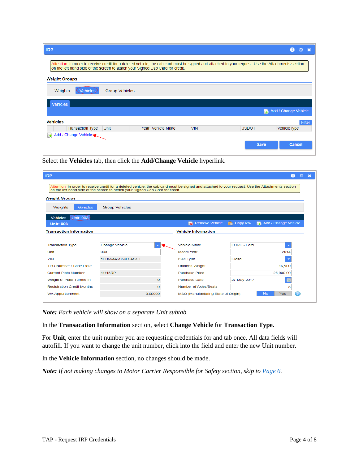|                                                                                                                                                                                                                                      |            |              | Ŧ<br>Ω               |
|--------------------------------------------------------------------------------------------------------------------------------------------------------------------------------------------------------------------------------------|------------|--------------|----------------------|
| Attention: In order to receive credit for a deleted vehicle, the cab card must be signed and attached to your request. Use the Attachments section<br>on the left hand side of the screen to attach your Signed Cab Card for credit. |            |              |                      |
| <b>Weight Groups</b>                                                                                                                                                                                                                 |            |              |                      |
| Weights<br><b>Group Vehicles</b><br><b>Vehicles</b>                                                                                                                                                                                  |            |              |                      |
| <b>Vehicles</b>                                                                                                                                                                                                                      |            |              |                      |
|                                                                                                                                                                                                                                      |            |              | Add / Change Vehicle |
| <b>Vehicles</b>                                                                                                                                                                                                                      |            |              | <b>Filter</b>        |
| Year Vehicle Make<br><b>Transaction Type</b><br>Unit                                                                                                                                                                                 | <b>VIN</b> | <b>USDOT</b> | VehicleType          |
| $\overline{+}$ Add / Change Vehicle                                                                                                                                                                                                  |            |              |                      |
|                                                                                                                                                                                                                                      |            | <b>Save</b>  | <b>Cancel</b>        |

Select the **Vehicles** tab, then click the **Add/Change Vehicle** hyperlink.

| <b>IRP</b>                                                                                                                                     |                       |   |                                                                                                                                                    |                 | ⊕                               | $\mathbb{Z}$ |
|------------------------------------------------------------------------------------------------------------------------------------------------|-----------------------|---|----------------------------------------------------------------------------------------------------------------------------------------------------|-----------------|---------------------------------|--------------|
| on the left hand side of the screen to attach your Signed Cab Card for credit.                                                                 |                       |   | Attention: In order to receive credit for a deleted vehicle, the cab card must be signed and attached to your request. Use the Attachments section |                 |                                 |              |
| <b>Weight Groups</b>                                                                                                                           |                       |   |                                                                                                                                                    |                 |                                 |              |
| <b>Vehicles</b><br>Weights                                                                                                                     | <b>Group Vehicles</b> |   |                                                                                                                                                    |                 |                                 |              |
| <b>(Unit: 003)</b><br><b>Vehicles</b>                                                                                                          |                       |   |                                                                                                                                                    |                 |                                 |              |
| <b>Unit: 003</b>                                                                                                                               |                       |   | <b>Remove Vehicle</b><br>Бv.                                                                                                                       | $\Box$ Copy row | <b>Et, Add / Change Vehicle</b> |              |
| <b>Transaction Information</b>                                                                                                                 |                       |   | <b>Vehicle Information</b>                                                                                                                         |                 |                                 |              |
|                                                                                                                                                |                       |   |                                                                                                                                                    |                 |                                 |              |
| <b>Transaction Type</b>                                                                                                                        | <b>Change Vehicle</b> | ≂ | <b>Vehicle Make</b>                                                                                                                                | FORD - Ford     | $\overline{\phantom{a}}$        |              |
|                                                                                                                                                |                       |   |                                                                                                                                                    |                 |                                 |              |
|                                                                                                                                                | 003                   |   | Model Year                                                                                                                                         |                 | 2014                            |              |
|                                                                                                                                                | 1FU654A6S54F6AS4D     |   | <b>Fuel Type</b>                                                                                                                                   | <b>Diesel</b>   | $\overline{\phantom{a}}$        |              |
|                                                                                                                                                |                       |   | <b>Unladen Weight</b>                                                                                                                              |                 | 16,900                          |              |
|                                                                                                                                                | 11113RP               |   | <b>Purchase Price</b>                                                                                                                              |                 | 25,000.00                       |              |
|                                                                                                                                                |                       | 0 | <b>Purchase Date</b>                                                                                                                               | 27-May-2017     | 园                               |              |
| Unit<br><b>VIN</b><br>TPO Number / Base Plate<br><b>Current Plate Number</b><br>Weight of Plate Turned In<br><b>Registration Credit Months</b> |                       | O | Number of Axles/Seats                                                                                                                              |                 | 3                               |              |

*Note: Each vehicle will show on a separate Unit subtab.*

In the **Transacation Information** section, select **Change Vehicle** for **Transaction Type**.

For **Unit**, enter the unit number you are requesting credentials for and tab once. All data fields will autofill. If you want to change the unit number, click into the field and enter the new Unit number.

In the **Vehicle Information** section, no changes should be made.

*Note: If not making changes to Motor Carrier Responsible for Safety section, skip to [Page 6.](#page-5-0)*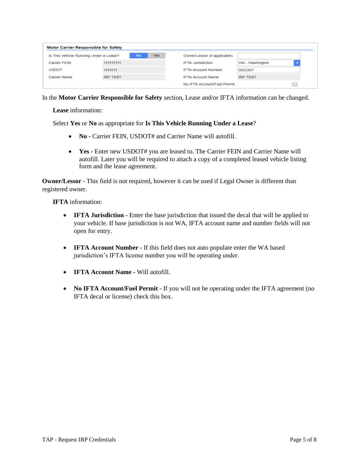| <b>Motor Carrier Responsible for Safety</b> |                 |                   |                              |                 |
|---------------------------------------------|-----------------|-------------------|------------------------------|-----------------|
| Is This Vehicle Running Under a Lease?      |                 | Yes.<br><b>No</b> | Owner/Lessor (if applicable) |                 |
| <b>Carrier FEIN</b>                         | 111111111       |                   | <b>IFTA Jurisdiction</b>     | WA - Washington |
| <b>USDOT</b>                                | 1111111         |                   | <b>IFTA Account Number</b>   | 0022307         |
| Carrier Name                                | <b>IRP TEST</b> |                   | <b>IFTA Account Name</b>     | <b>IRP TEST</b> |
|                                             |                 |                   | No IFTA Account/Fuel Permit  |                 |

In the **Motor Carrier Responsible for Safety** section, Lease and/or IFTA information can be changed.

**Lease** information:

Select **Yes** or **No** as appropriate for **Is This Vehicle Running Under a Lease**?

- **No -** Carrier FEIN, USDOT# and Carrier Name will autofill.
- **Yes -** Enter new USDOT# you are leased to. The Carrier FEIN and Carrier Name will autofill. Later you will be required to attach a copy of a completed leased vehicle listing form and the lease agreement.

**Owner/Lessor** - This field is not required, however it can be used if Legal Owner is different than registered owner.

**IFTA** information:

- **IFTA Jurisdiction -** Enter the base jurisdiction that issued the decal that will be applied to your vehicle. If base jurisdiction is not WA, IFTA account name and number fields will not open for entry.
- **IFTA Account Number -** If this field does not auto populate enter the WA based jurisdiction's IFTA license number you will be operating under.
- **IFTA Account Name -** Will autofill.
- **No IFTA Account/Fuel Permit** If you will not be operating under the IFTA agreement (no IFTA decal or license) check this box.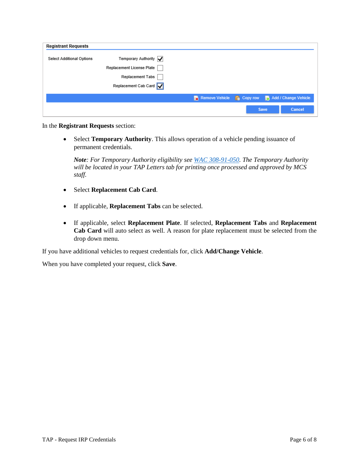| <b>Registrant Requests</b> |                                                 |                                                                |      |        |
|----------------------------|-------------------------------------------------|----------------------------------------------------------------|------|--------|
| Select Additional Options  | Temporary Authority $ \boldsymbol{\checkmark} $ |                                                                |      |        |
|                            | Replacement License Plate                       |                                                                |      |        |
|                            | <b>Replacement Tabs</b>                         |                                                                |      |        |
|                            | Replacement Cab Card                            |                                                                |      |        |
|                            |                                                 | Remove Vehicle <b>R</b> Copy row <b>R</b> Add / Change Vehicle |      |        |
|                            |                                                 |                                                                | Save | Cancel |

In the **Registrant Requests** section:

<span id="page-5-0"></span> Select **Temporary Authority**. This allows operation of a vehicle pending issuance of permanent credentials.

*Note: For Temporary Authority eligibility see WAC [308-91-050.](https://app.leg.wa.gov/wac/default.aspx?cite=308-91-050) The Temporary Authority will be located in your TAP Letters tab for printing once processed and approved by MCS staff.*

- Select **Replacement Cab Card**.
- If applicable, **Replacement Tabs** can be selected.
- If applicable, select **Replacement Plate**. If selected, **Replacement Tabs** and **Replacement Cab Card** will auto select as well. A reason for plate replacement must be selected from the drop down menu.

If you have additional vehicles to request credentials for, click **Add/Change Vehicle**.

When you have completed your request, click **Save**.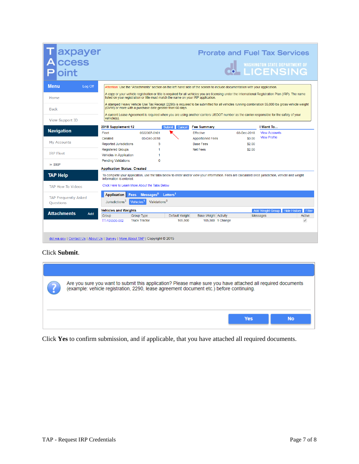| axpayer<br>ccess<br>oint                                                        |                                                                                   |                                                   |                      |                             |                                                                                                                              |        | <b>Prorate and Fuel Tax Services</b><br>WASHINGTON STATE DEPARTMENT OF                                                                                |                          |
|---------------------------------------------------------------------------------|-----------------------------------------------------------------------------------|---------------------------------------------------|----------------------|-----------------------------|------------------------------------------------------------------------------------------------------------------------------|--------|-------------------------------------------------------------------------------------------------------------------------------------------------------|--------------------------|
| <b>Menu</b><br>Log Off                                                          |                                                                                   |                                                   |                      |                             | Attention: Use the "Attachments" section on the left hand side of the screen to include documentation with your application. |        |                                                                                                                                                       |                          |
| Home                                                                            | listed on your registration or title must match the name on your IRP application. |                                                   |                      |                             |                                                                                                                              |        | A copy or your vehicle registration or title is required for all vehicles you are licensing under the International Registration Plan (IRP). The name |                          |
| <b>Back</b>                                                                     | (GVW) or more with a purchase date greater than 60 days.                          |                                                   |                      |                             |                                                                                                                              |        | A stamped Heavy Vehicle Use Tax Receipt (2290) is required to be submitted for all vehicles running combination 55,000 lbs gross vehicle weight       |                          |
| <b>View Support ID</b>                                                          | vehicle(s).                                                                       |                                                   |                      |                             |                                                                                                                              |        | A current Lease Agreement is required when you are using another carriers USDOT number as the carrier responsible for the safety of your              |                          |
|                                                                                 | 2018 Supplement 12                                                                |                                                   | Submit<br>Cancel     | <b>Fee Summary</b>          |                                                                                                                              |        | I Want To                                                                                                                                             |                          |
| <b>Navigation</b>                                                               | Fleet                                                                             | 0022307-0101                                      |                      | <b>Effective</b>            | 03-Dec-2018                                                                                                                  |        | <b>View Accounts</b>                                                                                                                                  |                          |
|                                                                                 | Created                                                                           | 03-Dec-2018                                       |                      | <b>Apportioned Fees</b>     |                                                                                                                              | \$0.00 | <b>View Profile</b>                                                                                                                                   |                          |
| My Accounts                                                                     | <b>Reported Jurisdictions</b>                                                     | 3                                                 |                      | <b>Base Fees</b>            |                                                                                                                              | \$2.00 |                                                                                                                                                       |                          |
| <b>IRP Fleet</b>                                                                | <b>Registered Groups</b>                                                          |                                                   |                      | <b>Net Fees</b>             |                                                                                                                              | \$2.00 |                                                                                                                                                       |                          |
|                                                                                 | Vehicles in Application                                                           |                                                   |                      |                             |                                                                                                                              |        |                                                                                                                                                       |                          |
| $\ast$ IRP                                                                      | <b>Pending Validations</b>                                                        | $\Omega$                                          |                      |                             |                                                                                                                              |        |                                                                                                                                                       |                          |
|                                                                                 | <b>Application Status: Created</b>                                                |                                                   |                      |                             |                                                                                                                              |        |                                                                                                                                                       |                          |
| <b>TAP Help</b>                                                                 | information is entered.                                                           |                                                   |                      |                             |                                                                                                                              |        | To complete your application, use the tabs below to enter and/or view your information. Fees are calculated once jurisdiction, vehicle and weight     |                          |
| <b>TAP How-To Videos</b>                                                        | Click Here to Learn More About the Tabs Below                                     |                                                   |                      |                             |                                                                                                                              |        |                                                                                                                                                       |                          |
|                                                                                 | Application<br>Fees                                                               | $M$ essages $^0$                                  | Letters <sup>1</sup> |                             |                                                                                                                              |        |                                                                                                                                                       |                          |
| <b>TAP Frequently Asked</b><br>Questions                                        | Jurisdictions <sup>3</sup>                                                        | Validations <sup>0</sup><br>Vehicles <sup>1</sup> |                      |                             |                                                                                                                              |        |                                                                                                                                                       |                          |
|                                                                                 | <b>Vehicles and Weights</b>                                                       |                                                   |                      |                             |                                                                                                                              |        | Add Weight Group   Hide History   Filter                                                                                                              |                          |
| <b>Attachments</b><br>Add                                                       | Group                                                                             | <b>Group Type</b>                                 | Default Weight       | <b>Base Weight Activity</b> |                                                                                                                              |        | Messages                                                                                                                                              | Active                   |
|                                                                                 | TT-105500-002                                                                     | <b>Truck Tractor</b>                              | 105,500              |                             | 105,500 1 Change                                                                                                             |        |                                                                                                                                                       | $\overline{\mathscr{A}}$ |
|                                                                                 |                                                                                   |                                                   |                      |                             |                                                                                                                              |        |                                                                                                                                                       |                          |
| dol.wa.gov   Contact Us   About Us   Survey   More About TAP   Copyright @ 2015 |                                                                                   |                                                   |                      |                             |                                                                                                                              |        |                                                                                                                                                       |                          |

## Click **Submit**.

| Are you sure you want to submit this application? Please make sure you have attached all required documents<br>(example: vehicle registration, 2290, lease agreement document etc.) before continuing. |            |           |
|--------------------------------------------------------------------------------------------------------------------------------------------------------------------------------------------------------|------------|-----------|
|                                                                                                                                                                                                        | <b>Yes</b> | <b>No</b> |

Click **Yes** to confirm submission, and if applicable, that you have attached all required documents.